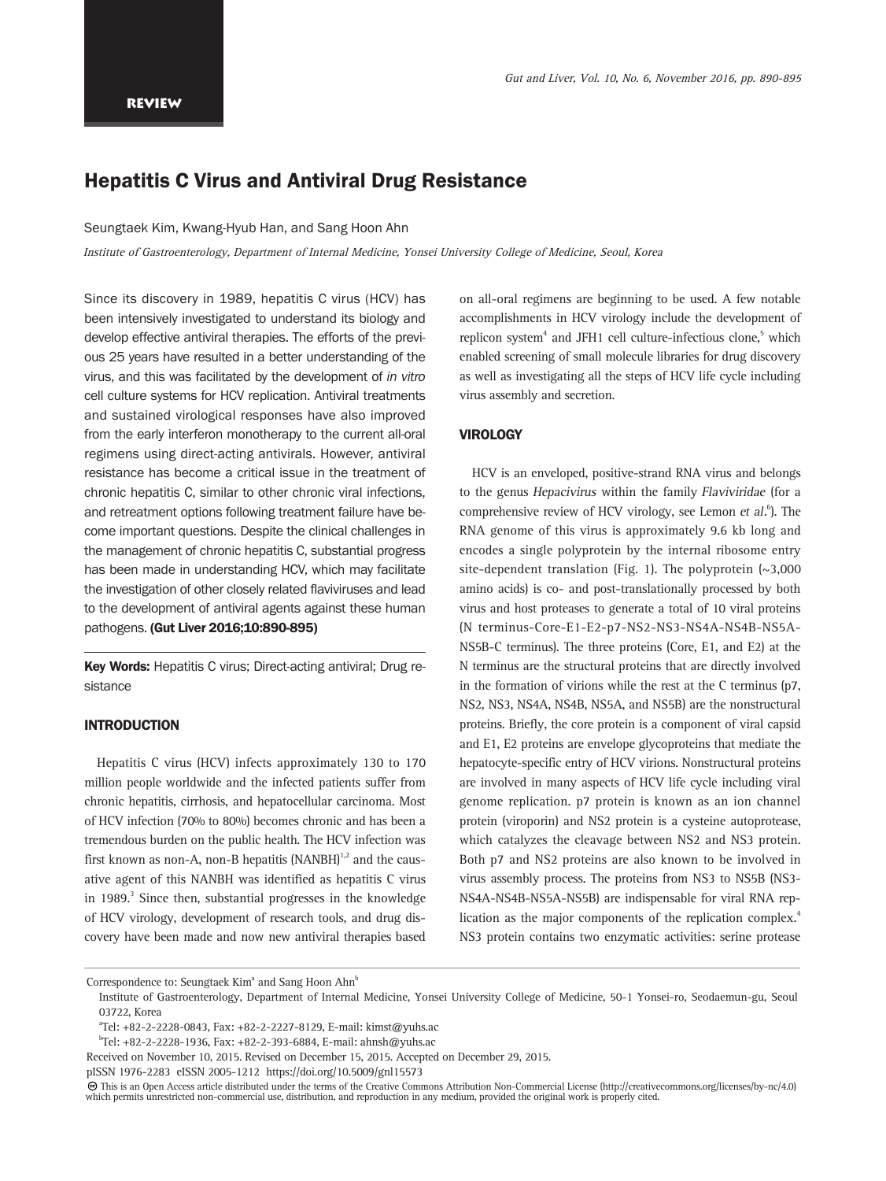# Hepatitis C Virus and Antiviral Drug Resistance

Seungtaek Kim, Kwang-Hyub Han, and Sang Hoon Ahn

Institute of Gastroenterology, Department of Internal Medicine, Yonsei University College of Medicine, Seoul, Korea

Since its discovery in 1989, hepatitis C virus (HCV) has been intensively investigated to understand its biology and develop effective antiviral therapies. The efforts of the previous 25 years have resulted in a better understanding of the virus, and this was facilitated by the development of in vitro cell culture systems for HCV replication. Antiviral treatments and sustained virological responses have also improved from the early interferon monotherapy to the current all-oral regimens using direct-acting antivirals. However, antiviral resistance has become a critical issue in the treatment of chronic hepatitis C, similar to other chronic viral infections, and retreatment options following treatment failure have become important questions. Despite the clinical challenges in the management of chronic hepatitis C, substantial progress has been made in understanding HCV, which may facilitate the investigation of other closely related flaviviruses and lead to the development of antiviral agents against these human pathogens. (Gut Liver 2016;10:890-895)

Key Words: Hepatitis C virus; Direct-acting antiviral; Drug resistance

## INTRODUCTION

Hepatitis C virus (HCV) infects approximately 130 to 170 million people worldwide and the infected patients suffer from chronic hepatitis, cirrhosis, and hepatocellular carcinoma. Most of HCV infection (70% to 80%) becomes chronic and has been a tremendous burden on the public health. The HCV infection was first known as non-A, non-B hepatitis  $(NANBH)^{1,2}$  and the causative agent of this NANBH was identified as hepatitis C virus in 1989. $3$  Since then, substantial progresses in the knowledge of HCV virology, development of research tools, and drug discovery have been made and now new antiviral therapies based

on all-oral regimens are beginning to be used. A few notable accomplishments in HCV virology include the development of replicon system<sup>4</sup> and JFH1 cell culture-infectious clone,<sup>5</sup> which enabled screening of small molecule libraries for drug discovery as well as investigating all the steps of HCV life cycle including virus assembly and secretion.

## **VIROLOGY**

HCV is an enveloped, positive-strand RNA virus and belongs to the genus Hepacivirus within the family Flaviviridae (for a comprehensive review of HCV virology, see Lemon et al.<sup>6</sup>). The RNA genome of this virus is approximately 9.6 kb long and encodes a single polyprotein by the internal ribosome entry site-dependent translation (Fig. 1). The polyprotein  $(\sim 3,000)$ amino acids) is co- and post-translationally processed by both virus and host proteases to generate a total of 10 viral proteins (N terminus-Core-E1-E2-p7-NS2-NS3-NS4A-NS4B-NS5A-NS5B-C terminus). The three proteins (Core, E1, and E2) at the N terminus are the structural proteins that are directly involved in the formation of virions while the rest at the C terminus (p7, NS2, NS3, NS4A, NS4B, NS5A, and NS5B) are the nonstructural proteins. Briefly, the core protein is a component of viral capsid and E1, E2 proteins are envelope glycoproteins that mediate the hepatocyte-specific entry of HCV virions. Nonstructural proteins are involved in many aspects of HCV life cycle including viral genome replication. p7 protein is known as an ion channel protein (viroporin) and NS2 protein is a cysteine autoprotease, which catalyzes the cleavage between NS2 and NS3 protein. Both p7 and NS2 proteins are also known to be involved in virus assembly process. The proteins from NS3 to NS5B (NS3- NS4A-NS4B-NS5A-NS5B) are indispensable for viral RNA replication as the major components of the replication complex.<sup>4</sup> NS3 protein contains two enzymatic activities: serine protease

pISSN 1976-2283 eISSN 2005-1212 https://doi.org/10.5009/gnl15573

Correspondence to: Seungtaek Kim<sup>ª</sup> and Sang Hoon Ahn<sup>b</sup>

Institute of Gastroenterology, Department of Internal Medicine, Yonsei University College of Medicine, 50-1 Yonsei-ro, Seodaemun-gu, Seoul 03722, Korea

a Tel: +82-2-2228-0843, Fax: +82-2-2227-8129, E-mail: kimst@yuhs.ac

b Tel: +82-2-2228-1936, Fax: +82-2-393-6884, E-mail: ahnsh@yuhs.ac

Received on November 10, 2015. Revised on December 15, 2015. Accepted on December 29, 2015.

This is an Open Access article distributed under the terms of the Creative Commons Attribution Non-Commercial License (http://creativecommons.org/licenses/by-nc/4.0) which permits unrestricted non-commercial use, distribution, and reproduction in any medium, provided the original work is properly cited.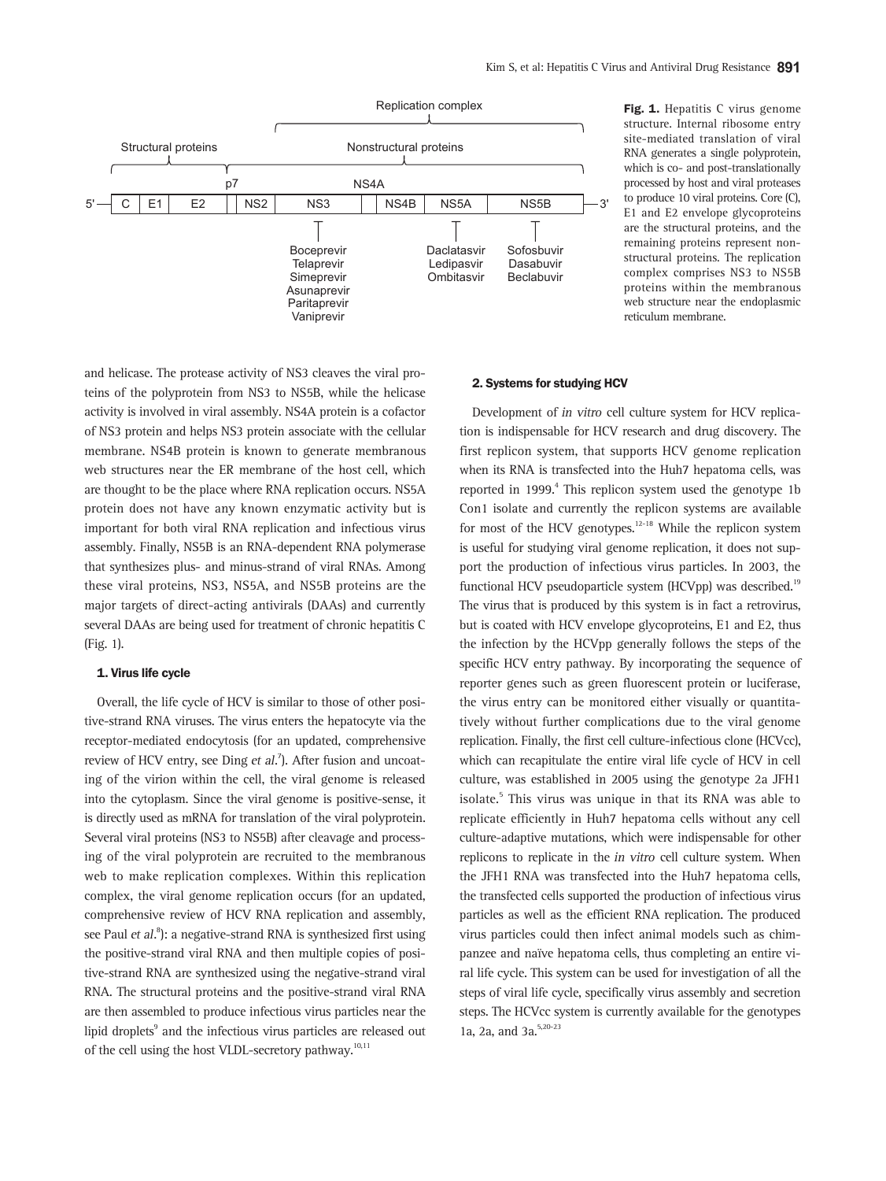

Fig. 1. Hepatitis C virus genome structure. Internal ribosome entry site-mediated translation of viral RNA generates a single polyprotein, which is co- and post-translationally processed by host and viral proteases to produce 10 viral proteins. Core (C), E1 and E2 envelope glycoproteins are the structural proteins, and the remaining proteins represent nonstructural proteins. The replication complex comprises NS3 to NS5B proteins within the membranous web structure near the endoplasmic reticulum membrane.

and helicase. The protease activity of NS3 cleaves the viral proteins of the polyprotein from NS3 to NS5B, while the helicase activity is involved in viral assembly. NS4A protein is a cofactor of NS3 protein and helps NS3 protein associate with the cellular membrane. NS4B protein is known to generate membranous web structures near the ER membrane of the host cell, which are thought to be the place where RNA replication occurs. NS5A protein does not have any known enzymatic activity but is important for both viral RNA replication and infectious virus assembly. Finally, NS5B is an RNA-dependent RNA polymerase that synthesizes plus- and minus-strand of viral RNAs. Among these viral proteins, NS3, NS5A, and NS5B proteins are the major targets of direct-acting antivirals (DAAs) and currently several DAAs are being used for treatment of chronic hepatitis C (Fig. 1).

#### 1. Virus life cycle

Overall, the life cycle of HCV is similar to those of other positive-strand RNA viruses. The virus enters the hepatocyte via the receptor-mediated endocytosis (for an updated, comprehensive review of HCV entry, see Ding et al.<sup>7</sup>). After fusion and uncoating of the virion within the cell, the viral genome is released into the cytoplasm. Since the viral genome is positive-sense, it is directly used as mRNA for translation of the viral polyprotein. Several viral proteins (NS3 to NS5B) after cleavage and processing of the viral polyprotein are recruited to the membranous web to make replication complexes. Within this replication complex, the viral genome replication occurs (for an updated, comprehensive review of HCV RNA replication and assembly, see Paul et al.<sup>8</sup>): a negative-strand RNA is synthesized first using the positive-strand viral RNA and then multiple copies of positive-strand RNA are synthesized using the negative-strand viral RNA. The structural proteins and the positive-strand viral RNA are then assembled to produce infectious virus particles near the lipid droplets<sup>9</sup> and the infectious virus particles are released out of the cell using the host VLDL-secretory pathway.<sup>10,11</sup>

#### 2. Systems for studying HCV

Development of in vitro cell culture system for HCV replication is indispensable for HCV research and drug discovery. The first replicon system, that supports HCV genome replication when its RNA is transfected into the Huh7 hepatoma cells, was reported in 1999.<sup>4</sup> This replicon system used the genotype 1b Con1 isolate and currently the replicon systems are available for most of the HCV genotypes. $12-18$  While the replicon system is useful for studying viral genome replication, it does not support the production of infectious virus particles. In 2003, the functional HCV pseudoparticle system (HCVpp) was described.<sup>19</sup> The virus that is produced by this system is in fact a retrovirus, but is coated with HCV envelope glycoproteins, E1 and E2, thus the infection by the HCVpp generally follows the steps of the specific HCV entry pathway. By incorporating the sequence of reporter genes such as green fluorescent protein or luciferase, the virus entry can be monitored either visually or quantitatively without further complications due to the viral genome replication. Finally, the first cell culture-infectious clone (HCVcc), which can recapitulate the entire viral life cycle of HCV in cell culture, was established in 2005 using the genotype 2a JFH1 isolate.<sup>5</sup> This virus was unique in that its RNA was able to replicate efficiently in Huh7 hepatoma cells without any cell culture-adaptive mutations, which were indispensable for other replicons to replicate in the in vitro cell culture system. When the JFH1 RNA was transfected into the Huh7 hepatoma cells, the transfected cells supported the production of infectious virus particles as well as the efficient RNA replication. The produced virus particles could then infect animal models such as chimpanzee and naïve hepatoma cells, thus completing an entire viral life cycle. This system can be used for investigation of all the steps of viral life cycle, specifically virus assembly and secretion steps. The HCVcc system is currently available for the genotypes 1a, 2a, and 3a.<sup>5,20-23</sup>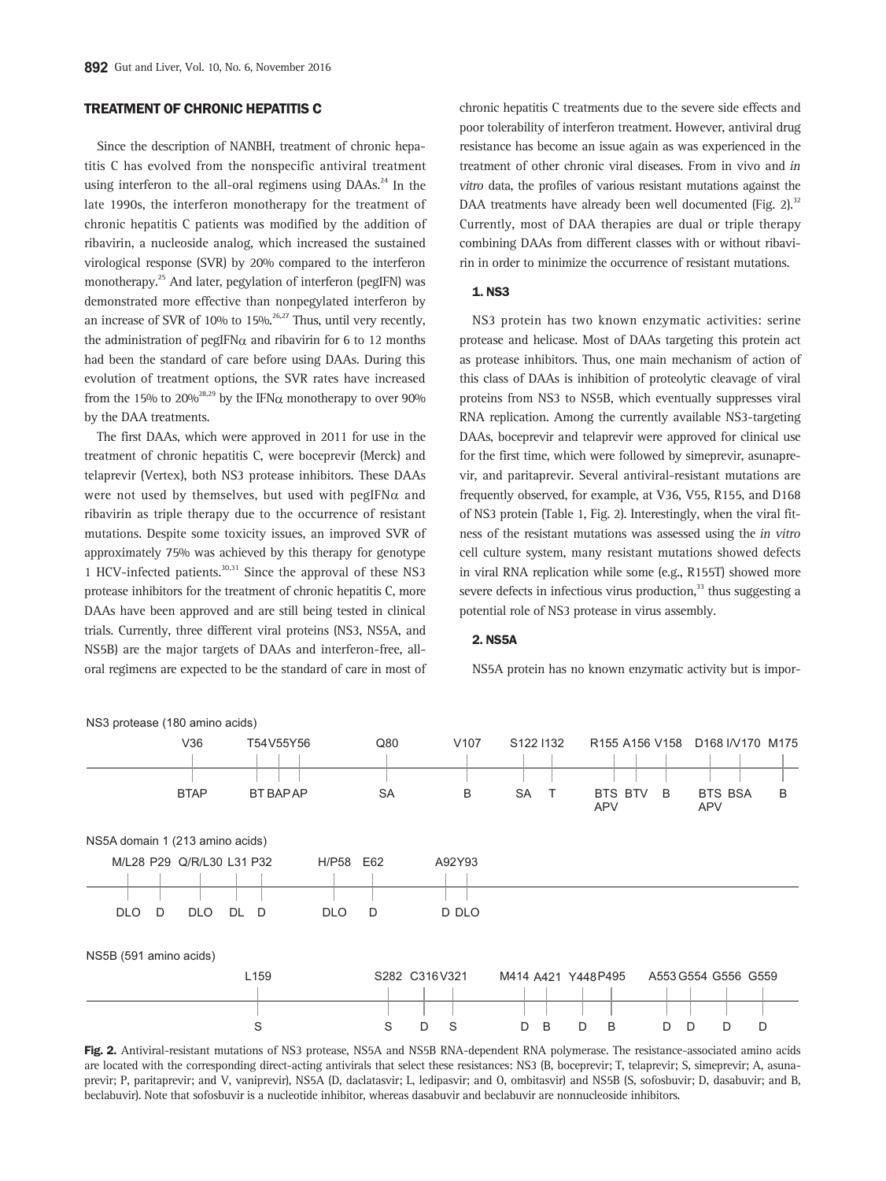# TREATMENT OF CHRONIC HEPATITIS C

Since the description of NANBH, treatment of chronic hepatitis C has evolved from the nonspecific antiviral treatment using interferon to the all-oral regimens using  $D\text{A}$ As.<sup>24</sup> In the late 1990s, the interferon monotherapy for the treatment of chronic hepatitis C patients was modified by the addition of ribavirin, a nucleoside analog, which increased the sustained virological response (SVR) by 20% compared to the interferon monotherapy.<sup>25</sup> And later, pegylation of interferon (pegIFN) was demonstrated more effective than nonpegylated interferon by an increase of SVR of 10% to 15%.<sup>26,27</sup> Thus, until very recently, the administration of pegIFN $\alpha$  and ribavirin for 6 to 12 months had been the standard of care before using DAAs. During this evolution of treatment options, the SVR rates have increased from the 15% to 20%<sup>28,29</sup> by the IFN $\alpha$  monotherapy to over 90% by the DAA treatments.

The first DAAs, which were approved in 2011 for use in the treatment of chronic hepatitis C, were boceprevir (Merck) and telaprevir (Vertex), both NS3 protease inhibitors. These DAAs were not used by themselves, but used with pegIFN $\alpha$  and ribavirin as triple therapy due to the occurrence of resistant mutations. Despite some toxicity issues, an improved SVR of approximately 75% was achieved by this therapy for genotype 1 HCV-infected patients. $30,31$  Since the approval of these NS3 protease inhibitors for the treatment of chronic hepatitis C, more DAAs have been approved and are still being tested in clinical trials. Currently, three different viral proteins (NS3, NS5A, and NS5B) are the major targets of DAAs and interferon-free, alloral regimens are expected to be the standard of care in most of chronic hepatitis C treatments due to the severe side effects and poor tolerability of interferon treatment. However, antiviral drug resistance has become an issue again as was experienced in the treatment of other chronic viral diseases. From in vivo and in vitro data, the profiles of various resistant mutations against the DAA treatments have already been well documented (Fig. 2).<sup>32</sup> Currently, most of DAA therapies are dual or triple therapy combining DAAs from different classes with or without ribavirin in order to minimize the occurrence of resistant mutations.

#### 1. NS3

NS3 protein has two known enzymatic activities: serine protease and helicase. Most of DAAs targeting this protein act as protease inhibitors. Thus, one main mechanism of action of this class of DAAs is inhibition of proteolytic cleavage of viral proteins from NS3 to NS5B, which eventually suppresses viral RNA replication. Among the currently available NS3-targeting DAAs, boceprevir and telaprevir were approved for clinical use for the first time, which were followed by simeprevir, asunaprevir, and paritaprevir. Several antiviral-resistant mutations are frequently observed, for example, at V36, V55, R155, and D168 of NS3 protein (Table 1, Fig. 2). Interestingly, when the viral fitness of the resistant mutations was assessed using the in vitro cell culture system, many resistant mutations showed defects in viral RNA replication while some (e.g., R155T) showed more severe defects in infectious virus production, $^{33}$  thus suggesting a potential role of NS3 protease in virus assembly.

#### 2. NS5A

NS5A protein has no known enzymatic activity but is impor-



Fig. 2. Antiviral-resistant mutations of NS3 protease, NS5A and NS5B RNA-dependent RNA polymerase. The resistance-associated amino acids are located with the corresponding direct-acting antivirals that select these resistances: NS3 (B, boceprevir; T, telaprevir; S, simeprevir; A, asunaprevir; P, paritaprevir; and V, vaniprevir), NS5A (D, daclatasvir; L, ledipasvir; and O, ombitasvir) and NS5B (S, sofosbuvir; D, dasabuvir; and B, beclabuvir). Note that sofosbuvir is a nucleotide inhibitor, whereas dasabuvir and beclabuvir are nonnucleoside inhibitors.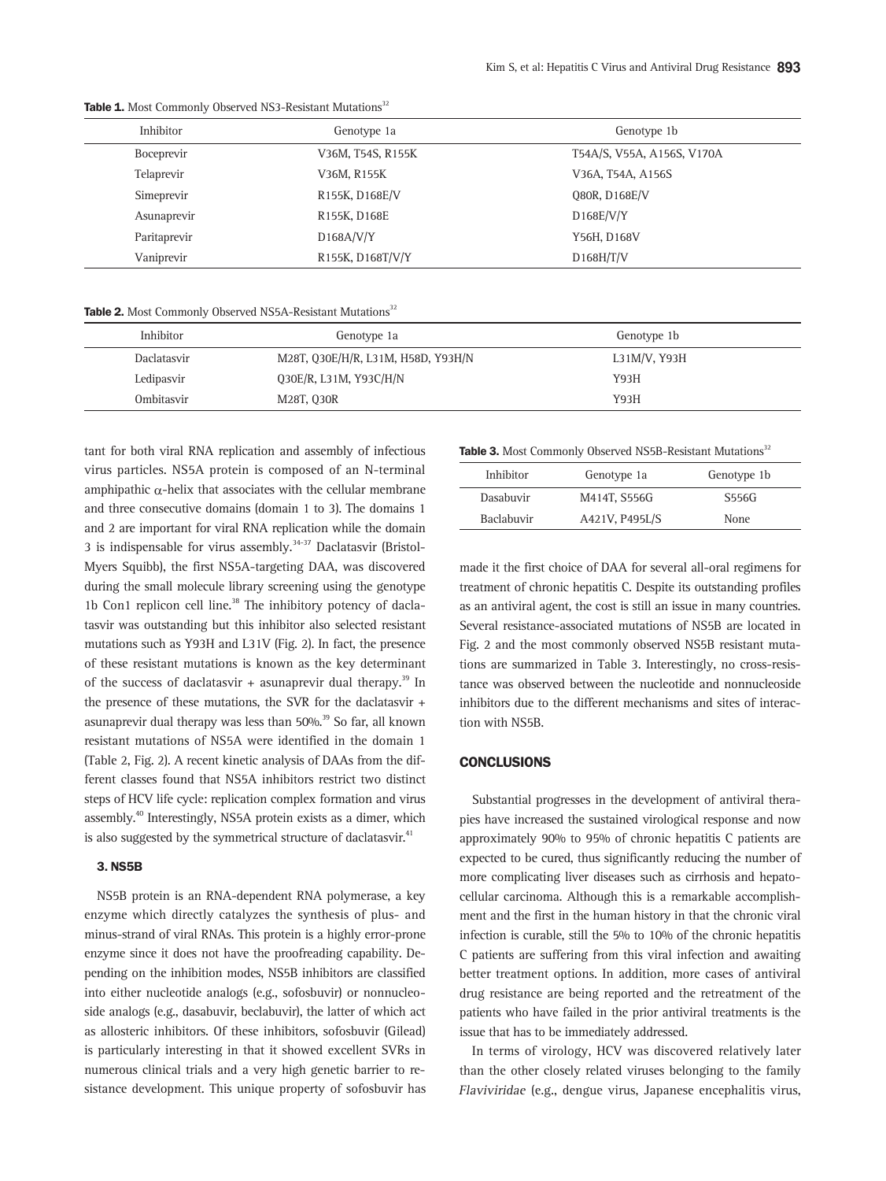| Inhibitor    | Genotype 1a       | Genotype 1b                |
|--------------|-------------------|----------------------------|
| Boceprevir   | V36M, T54S, R155K | T54A/S, V55A, A156S, V170A |
| Telaprevir   | V36M, R155K       | V36A, T54A, A156S          |
| Simeprevir   | R155K, D168E/V    | 080R, D168E/V              |
| Asunaprevir  | R155K, D168E      | D168E/V/Y                  |
| Paritaprevir | D168A/V/Y         | Y56H, D168V                |
| Vaniprevir   | R155K, D168T/V/Y  | D168H/T/V                  |

Table 1. Most Commonly Observed NS3-Resistant Mutations<sup>32</sup>

Table 2. Most Commonly Observed NS5A-Resistant Mutations<sup>32</sup>

| Inhibitor   | Genotype 1a                        | Genotype 1b  |
|-------------|------------------------------------|--------------|
| Daclatasvir | M28T, Q30E/H/R, L31M, H58D, Y93H/N | L31M/V, Y93H |
| Ledipasvir  | Q30E/R, L31M, Y93C/H/N             | Y93H         |
| Ombitasvir  | M28T, 030R                         | Y93H         |

tant for both viral RNA replication and assembly of infectious virus particles. NS5A protein is composed of an N-terminal amphipathic  $\alpha$ -helix that associates with the cellular membrane and three consecutive domains (domain 1 to 3). The domains 1 and 2 are important for viral RNA replication while the domain 3 is indispensable for virus assembly. $34-37$  Daclatasvir (Bristol-Myers Squibb), the first NS5A-targeting DAA, was discovered during the small molecule library screening using the genotype 1b Con1 replicon cell line. $38$  The inhibitory potency of daclatasvir was outstanding but this inhibitor also selected resistant mutations such as Y93H and L31V (Fig. 2). In fact, the presence of these resistant mutations is known as the key determinant of the success of daclatasvir + asunaprevir dual therapy.<sup>39</sup> In the presence of these mutations, the SVR for the daclatasvir + asunaprevir dual therapy was less than 50%.<sup>39</sup> So far, all known resistant mutations of NS5A were identified in the domain 1 (Table 2, Fig. 2). A recent kinetic analysis of DAAs from the different classes found that NS5A inhibitors restrict two distinct steps of HCV life cycle: replication complex formation and virus assembly.<sup>40</sup> Interestingly, NS5A protein exists as a dimer, which is also suggested by the symmetrical structure of daclatasvir.<sup>41</sup>

#### 3. NS5B

NS5B protein is an RNA-dependent RNA polymerase, a key enzyme which directly catalyzes the synthesis of plus- and minus-strand of viral RNAs. This protein is a highly error-prone enzyme since it does not have the proofreading capability. Depending on the inhibition modes, NS5B inhibitors are classified into either nucleotide analogs (e.g., sofosbuvir) or nonnucleoside analogs (e.g., dasabuvir, beclabuvir), the latter of which act as allosteric inhibitors. Of these inhibitors, sofosbuvir (Gilead) is particularly interesting in that it showed excellent SVRs in numerous clinical trials and a very high genetic barrier to resistance development. This unique property of sofosbuvir has

Table 3. Most Commonly Observed NS5B-Resistant Mutations<sup>32</sup>

| Inhibitor  | Genotype 1a    | Genotype 1b  |
|------------|----------------|--------------|
| Dasabuvir  | M414T, S556G   | <b>S556G</b> |
| Baclabuvir | A421V, P495L/S | None         |
|            |                |              |

made it the first choice of DAA for several all-oral regimens for treatment of chronic hepatitis C. Despite its outstanding profiles as an antiviral agent, the cost is still an issue in many countries. Several resistance-associated mutations of NS5B are located in Fig. 2 and the most commonly observed NS5B resistant mutations are summarized in Table 3. Interestingly, no cross-resistance was observed between the nucleotide and nonnucleoside inhibitors due to the different mechanisms and sites of interaction with NS5B.

## **CONCLUSIONS**

Substantial progresses in the development of antiviral therapies have increased the sustained virological response and now approximately 90% to 95% of chronic hepatitis C patients are expected to be cured, thus significantly reducing the number of more complicating liver diseases such as cirrhosis and hepatocellular carcinoma. Although this is a remarkable accomplishment and the first in the human history in that the chronic viral infection is curable, still the 5% to 10% of the chronic hepatitis C patients are suffering from this viral infection and awaiting better treatment options. In addition, more cases of antiviral drug resistance are being reported and the retreatment of the patients who have failed in the prior antiviral treatments is the issue that has to be immediately addressed.

In terms of virology, HCV was discovered relatively later than the other closely related viruses belonging to the family Flaviviridae (e.g., dengue virus, Japanese encephalitis virus,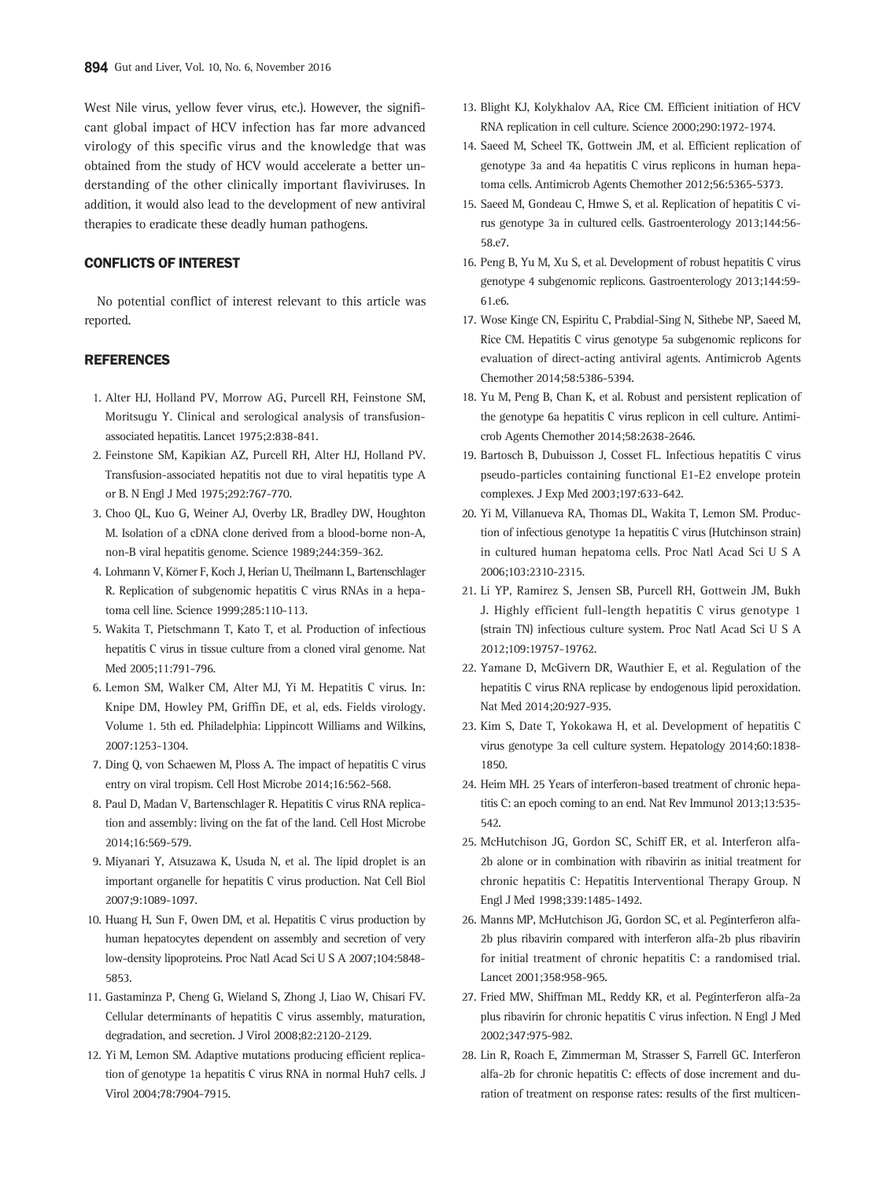West Nile virus, yellow fever virus, etc.). However, the significant global impact of HCV infection has far more advanced virology of this specific virus and the knowledge that was obtained from the study of HCV would accelerate a better understanding of the other clinically important flaviviruses. In addition, it would also lead to the development of new antiviral therapies to eradicate these deadly human pathogens.

#### CONFLICTS OF INTEREST

No potential conflict of interest relevant to this article was reported.

### **REFERENCES**

- 1. Alter HJ, Holland PV, Morrow AG, Purcell RH, Feinstone SM, Moritsugu Y. Clinical and serological analysis of transfusionassociated hepatitis. Lancet 1975;2:838-841.
- 2. Feinstone SM, Kapikian AZ, Purcell RH, Alter HJ, Holland PV. Transfusion-associated hepatitis not due to viral hepatitis type A or B. N Engl J Med 1975;292:767-770.
- 3. Choo QL, Kuo G, Weiner AJ, Overby LR, Bradley DW, Houghton M. Isolation of a cDNA clone derived from a blood-borne non-A, non-B viral hepatitis genome. Science 1989;244:359-362.
- 4. Lohmann V, Körner F, Koch J, Herian U, Theilmann L, Bartenschlager R. Replication of subgenomic hepatitis C virus RNAs in a hepatoma cell line. Science 1999;285:110-113.
- 5. Wakita T, Pietschmann T, Kato T, et al. Production of infectious hepatitis C virus in tissue culture from a cloned viral genome. Nat Med 2005;11:791-796.
- 6. Lemon SM, Walker CM, Alter MJ, Yi M. Hepatitis C virus. In: Knipe DM, Howley PM, Griffin DE, et al, eds. Fields virology. Volume 1. 5th ed. Philadelphia: Lippincott Williams and Wilkins, 2007:1253-1304.
- 7. Ding Q, von Schaewen M, Ploss A. The impact of hepatitis C virus entry on viral tropism. Cell Host Microbe 2014;16:562-568.
- 8. Paul D, Madan V, Bartenschlager R. Hepatitis C virus RNA replication and assembly: living on the fat of the land. Cell Host Microbe 2014;16:569-579.
- 9. Miyanari Y, Atsuzawa K, Usuda N, et al. The lipid droplet is an important organelle for hepatitis C virus production. Nat Cell Biol 2007;9:1089-1097.
- 10. Huang H, Sun F, Owen DM, et al. Hepatitis C virus production by human hepatocytes dependent on assembly and secretion of very low-density lipoproteins. Proc Natl Acad Sci U S A 2007;104:5848- 5853.
- 11. Gastaminza P, Cheng G, Wieland S, Zhong J, Liao W, Chisari FV. Cellular determinants of hepatitis C virus assembly, maturation, degradation, and secretion. J Virol 2008;82:2120-2129.
- 12. Yi M, Lemon SM. Adaptive mutations producing efficient replication of genotype 1a hepatitis C virus RNA in normal Huh7 cells. J Virol 2004;78:7904-7915.
- 13. Blight KJ, Kolykhalov AA, Rice CM. Efficient initiation of HCV RNA replication in cell culture. Science 2000;290:1972-1974.
- 14. Saeed M, Scheel TK, Gottwein JM, et al. Efficient replication of genotype 3a and 4a hepatitis C virus replicons in human hepatoma cells. Antimicrob Agents Chemother 2012;56:5365-5373.
- 15. Saeed M, Gondeau C, Hmwe S, et al. Replication of hepatitis C virus genotype 3a in cultured cells. Gastroenterology 2013;144:56- 58.e7.
- 16. Peng B, Yu M, Xu S, et al. Development of robust hepatitis C virus genotype 4 subgenomic replicons. Gastroenterology 2013;144:59- 61.e6.
- 17. Wose Kinge CN, Espiritu C, Prabdial-Sing N, Sithebe NP, Saeed M, Rice CM. Hepatitis C virus genotype 5a subgenomic replicons for evaluation of direct-acting antiviral agents. Antimicrob Agents Chemother 2014;58:5386-5394.
- 18. Yu M, Peng B, Chan K, et al. Robust and persistent replication of the genotype 6a hepatitis C virus replicon in cell culture. Antimicrob Agents Chemother 2014;58:2638-2646.
- 19. Bartosch B, Dubuisson J, Cosset FL. Infectious hepatitis C virus pseudo-particles containing functional E1-E2 envelope protein complexes. J Exp Med 2003;197:633-642.
- 20. Yi M, Villanueva RA, Thomas DL, Wakita T, Lemon SM. Production of infectious genotype 1a hepatitis C virus (Hutchinson strain) in cultured human hepatoma cells. Proc Natl Acad Sci U S A 2006;103:2310-2315.
- 21. Li YP, Ramirez S, Jensen SB, Purcell RH, Gottwein JM, Bukh J. Highly efficient full-length hepatitis C virus genotype 1 (strain TN) infectious culture system. Proc Natl Acad Sci U S A 2012;109:19757-19762.
- 22. Yamane D, McGivern DR, Wauthier E, et al. Regulation of the hepatitis C virus RNA replicase by endogenous lipid peroxidation. Nat Med 2014;20:927-935.
- 23. Kim S, Date T, Yokokawa H, et al. Development of hepatitis C virus genotype 3a cell culture system. Hepatology 2014;60:1838- 1850.
- 24. Heim MH. 25 Years of interferon-based treatment of chronic hepatitis C: an epoch coming to an end. Nat Rev Immunol 2013;13:535- 542.
- 25. McHutchison JG, Gordon SC, Schiff ER, et al. Interferon alfa-2b alone or in combination with ribavirin as initial treatment for chronic hepatitis C: Hepatitis Interventional Therapy Group. N Engl J Med 1998;339:1485-1492.
- 26. Manns MP, McHutchison JG, Gordon SC, et al. Peginterferon alfa-2b plus ribavirin compared with interferon alfa-2b plus ribavirin for initial treatment of chronic hepatitis C: a randomised trial. Lancet 2001;358:958-965.
- 27. Fried MW, Shiffman ML, Reddy KR, et al. Peginterferon alfa-2a plus ribavirin for chronic hepatitis C virus infection. N Engl J Med 2002;347:975-982.
- 28. Lin R, Roach E, Zimmerman M, Strasser S, Farrell GC. Interferon alfa-2b for chronic hepatitis C: effects of dose increment and duration of treatment on response rates: results of the first multicen-